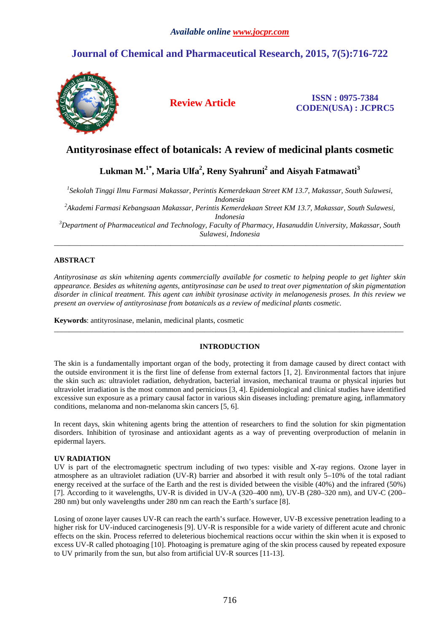# **Journal of Chemical and Pharmaceutical Research, 2015, 7(5):716-722**



**Review Article ISSN : 0975-7384 CODEN(USA) : JCPRC5**

## **Antityrosinase effect of botanicals: A review of medicinal plants cosmetic**

**Lukman M.1\*, Maria Ulfa<sup>2</sup> , Reny Syahruni<sup>2</sup> and Aisyah Fatmawati<sup>3</sup>**

*1 Sekolah Tinggi Ilmu Farmasi Makassar, Perintis Kemerdekaan Street KM 13.7, Makassar, South Sulawesi, Indonesia* 

*<sup>2</sup>Akademi Farmasi Kebangsaan Makassar, Perintis Kemerdekaan Street KM 13.7, Makassar, South Sulawesi, Indonesia* 

*<sup>3</sup>Department of Pharmaceutical and Technology, Faculty of Pharmacy, Hasanuddin University, Makassar, South Sulawesi, Indonesia*  \_\_\_\_\_\_\_\_\_\_\_\_\_\_\_\_\_\_\_\_\_\_\_\_\_\_\_\_\_\_\_\_\_\_\_\_\_\_\_\_\_\_\_\_\_\_\_\_\_\_\_\_\_\_\_\_\_\_\_\_\_\_\_\_\_\_\_\_\_\_\_\_\_\_\_\_\_\_\_\_\_\_\_\_\_\_\_\_\_\_\_\_\_

## **ABSTRACT**

*Antityrosinase as skin whitening agents commercially available for cosmetic to helping people to get lighter skin appearance. Besides as whitening agents, antityrosinase can be used to treat over pigmentation of skin pigmentation disorder in clinical treatment. This agent can inhibit tyrosinase activity in melanogenesis proses. In this review we present an overview of antityrosinase from botanicals as a review of medicinal plants cosmetic.* 

**Keywords**: antityrosinase, melanin, medicinal plants, cosmetic

### **INTRODUCTION**

\_\_\_\_\_\_\_\_\_\_\_\_\_\_\_\_\_\_\_\_\_\_\_\_\_\_\_\_\_\_\_\_\_\_\_\_\_\_\_\_\_\_\_\_\_\_\_\_\_\_\_\_\_\_\_\_\_\_\_\_\_\_\_\_\_\_\_\_\_\_\_\_\_\_\_\_\_\_\_\_\_\_\_\_\_\_\_\_\_\_\_\_\_

The skin is a fundamentally important organ of the body, protecting it from damage caused by direct contact with the outside environment it is the first line of defense from external factors [1, 2]. Environmental factors that injure the skin such as: ultraviolet radiation, dehydration, bacterial invasion, mechanical trauma or physical injuries but ultraviolet irradiation is the most common and pernicious [3, 4]. Epidemiological and clinical studies have identified excessive sun exposure as a primary causal factor in various skin diseases including: premature aging, inflammatory conditions, melanoma and non-melanoma skin cancers [5, 6].

In recent days, skin whitening agents bring the attention of researchers to find the solution for skin pigmentation disorders. Inhibition of tyrosinase and antioxidant agents as a way of preventing overproduction of melanin in epidermal layers.

## **UV RADIATION**

UV is part of the electromagnetic spectrum including of two types: visible and X-ray regions. Ozone layer in atmosphere as an ultraviolet radiation (UV-R) barrier and absorbed it with result only 5–10% of the total radiant energy received at the surface of the Earth and the rest is divided between the visible (40%) and the infrared (50%) [7]. According to it wavelengths, UV-R is divided in UV-A (320–400 nm), UV-B (280–320 nm), and UV-C (200– 280 nm) but only wavelengths under 280 nm can reach the Earth's surface [8].

Losing of ozone layer causes UV-R can reach the earth's surface. However, UV-B excessive penetration leading to a higher risk for UV-induced carcinogenesis [9]. UV-R is responsible for a wide variety of different acute and chronic effects on the skin. Process referred to deleterious biochemical reactions occur within the skin when it is exposed to excess UV-R called photoaging [10]. Photoaging is premature aging of the skin process caused by repeated exposure to UV primarily from the sun, but also from artificial UV-R sources [11-13].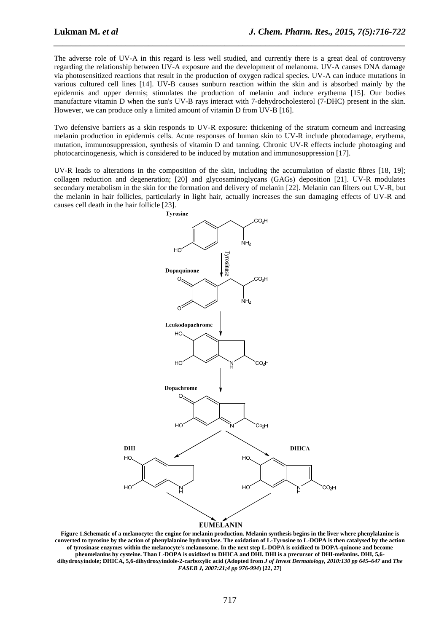The adverse role of UV-A in this regard is less well studied, and currently there is a great deal of controversy regarding the relationship between UV-A exposure and the development of melanoma. UV-A causes DNA damage via photosensitized reactions that result in the production of oxygen radical species. UV-A can induce mutations in various cultured cell lines [14]. UV-B causes sunburn reaction within the skin and is absorbed mainly by the epidermis and upper dermis; stimulates the production of melanin and induce erythema [15]. Our bodies manufacture vitamin D when the sun's UV-B rays interact with 7-dehydrocholesterol (7-DHC) present in the skin. However, we can produce only a limited amount of vitamin D from UV-B [16].

*\_\_\_\_\_\_\_\_\_\_\_\_\_\_\_\_\_\_\_\_\_\_\_\_\_\_\_\_\_\_\_\_\_\_\_\_\_\_\_\_\_\_\_\_\_\_\_\_\_\_\_\_\_\_\_\_\_\_\_\_\_\_\_\_\_\_\_\_\_\_\_\_\_\_\_\_\_\_*

Two defensive barriers as a skin responds to UV-R exposure: thickening of the stratum corneum and increasing melanin production in epidermis cells. Acute responses of human skin to UV-R include photodamage, erythema, mutation, immunosuppression, synthesis of vitamin D and tanning. Chronic UV-R effects include photoaging and photocarcinogenesis, which is considered to be induced by mutation and immunosuppression [17].

UV-R leads to alterations in the composition of the skin, including the accumulation of elastic fibres [18, 19]; collagen reduction and degeneration; [20] and glycosaminoglycans (GAGs) deposition [21]. UV-R modulates secondary metabolism in the skin for the formation and delivery of melanin [22]. Melanin can filters out UV-R, but the melanin in hair follicles, particularly in light hair, actually increases the sun damaging effects of UV-R and causes cell death in the hair follicle [23].



**Figure 1.Schematic of a melanocyte: the engine for melanin production. Melanin synthesis begins in the liver where phenylalanine is converted to tyrosine by the action of phenylalanine hydroxylase. The oxidation of L-Tyrosine to L-DOPA is then catalysed by the action of tyrosinase enzymes within the melanocyte's melanosome. In the next step L-DOPA is oxidized to DOPA-quinone and become pheomelanins by cysteine. Than L-DOPA is oxidized to DHICA and DHI. DHI is a precursor of DHI-melanins. DHI, 5,6 dihydroxyindole; DHICA, 5,6-dihydroxyindole-2-carboxylic acid (Adopted from** *J of Invest Dermatology, 2010:130 pp 645–647* **and** *The FASEB J, 2007:21;4 pp 976-994***) [22, 27]**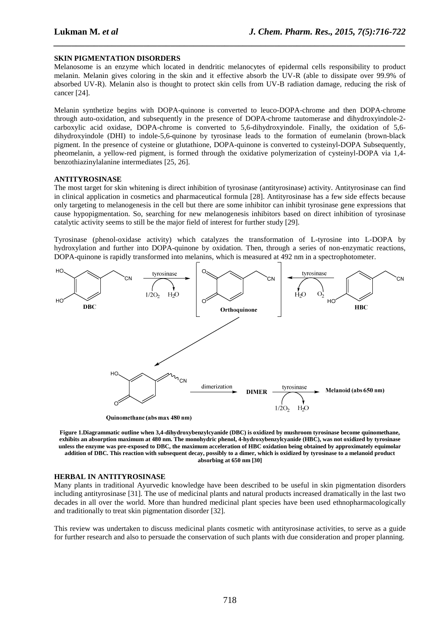### **SKIN PIGMENTATION DISORDERS**

Melanosome is an enzyme which located in dendritic melanocytes of epidermal cells responsibility to product melanin. Melanin gives coloring in the skin and it effective absorb the UV-R (able to dissipate over 99.9% of absorbed UV-R). Melanin also is thought to protect skin cells from UV-B radiation damage, reducing the risk of cancer [24].

*\_\_\_\_\_\_\_\_\_\_\_\_\_\_\_\_\_\_\_\_\_\_\_\_\_\_\_\_\_\_\_\_\_\_\_\_\_\_\_\_\_\_\_\_\_\_\_\_\_\_\_\_\_\_\_\_\_\_\_\_\_\_\_\_\_\_\_\_\_\_\_\_\_\_\_\_\_\_*

Melanin synthetize begins with DOPA-quinone is converted to leuco-DOPA-chrome and then DOPA-chrome through auto-oxidation, and subsequently in the presence of DOPA-chrome tautomerase and dihydroxyindole-2 carboxylic acid oxidase, DOPA-chrome is converted to 5,6-dihydroxyindole. Finally, the oxidation of 5,6 dihydroxyindole (DHI) to indole-5,6-quinone by tyrosinase leads to the formation of eumelanin (brown-black pigment. In the presence of cysteine or glutathione, DOPA-quinone is converted to cysteinyl-DOPA Subsequently, pheomelanin, a yellow-red pigment, is formed through the oxidative polymerization of cysteinyl-DOPA via 1,4 benzothiazinylalanine intermediates [25, 26].

#### **ANTITYROSINASE**

The most target for skin whitening is direct inhibition of tyrosinase (antityrosinase) activity. Antityrosinase can find in clinical application in cosmetics and pharmaceutical formula [28]. Antityrosinase has a few side effects because only targeting to melanogenesis in the cell but there are some inhibitor can inhibit tyrosinase gene expressions that cause hypopigmentation. So, searching for new melanogenesis inhibitors based on direct inhibition of tyrosinase catalytic activity seems to still be the major field of interest for further study [29].

Tyrosinase (phenol-oxidase activity) which catalyzes the transformation of L-tyrosine into L-DOPA by hydroxylation and further into DOPA-quinone by oxidation. Then, through a series of non-enzymatic reactions, DOPA-quinone is rapidly transformed into melanins, which is measured at 492 nm in a spectrophotometer.



**Figure 1.Diagrammatic outline when 3,4-dihydroxybenzylcyanide (DBC) is oxidized by mushroom tyrosinase become quinomethane, exhibits an absorption maximum at 480 nm. The monohydric phenol, 4-hydroxybenzylcyanide (HBC), was not oxidized by tyrosinase unless the enzyme was pre-exposed to DBC, the maximum acceleration of HBC oxidation being obtained by approximately equimolar addition of DBC. This reaction with subsequent decay, possibly to a dimer, which is oxidized by tyrosinase to a melanoid product absorbing at 650 nm [30]** 

#### **HERBAL IN ANTITYROSINASE**

Many plants in traditional Ayurvedic knowledge have been described to be useful in skin pigmentation disorders including antityrosinase [31]. The use of medicinal plants and natural products increased dramatically in the last two decades in all over the world. More than hundred medicinal plant species have been used ethnopharmacologically and traditionally to treat skin pigmentation disorder [32].

This review was undertaken to discuss medicinal plants cosmetic with antityrosinase activities, to serve as a guide for further research and also to persuade the conservation of such plants with due consideration and proper planning.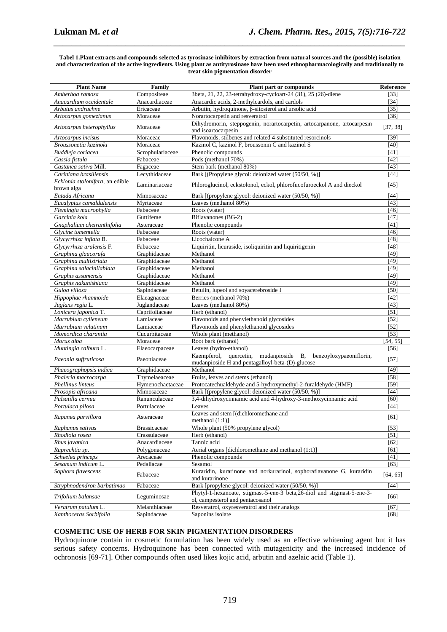#### **Tabel 1.Plant extracts and compounds selected as tyrosinase inhibitors by extraction from natural sources and the (possible) isolation and characterization of the active ingredients. Using plant as antityrosinase have been used ethnopharmacologically and traditionally to treat skin pigmentation disorder**

*\_\_\_\_\_\_\_\_\_\_\_\_\_\_\_\_\_\_\_\_\_\_\_\_\_\_\_\_\_\_\_\_\_\_\_\_\_\_\_\_\_\_\_\_\_\_\_\_\_\_\_\_\_\_\_\_\_\_\_\_\_\_\_\_\_\_\_\_\_\_\_\_\_\_\_\_\_\_*

| <b>Plant Name</b>                          | Family                     | Plant part or compounds                                                                                      | Reference    |
|--------------------------------------------|----------------------------|--------------------------------------------------------------------------------------------------------------|--------------|
| Amberboa ramosa                            | Compositeae                | 3beta, 21, 22, 23-tetrahydroxy-cycloart-24 (31), 25 (26)-diene                                               | [33]         |
| Anacardium occidentale                     | Anacardiaceae              | Anacardic acids, 2-methylcardols, and cardols                                                                | [34]         |
| Arbutus andrachne                          | Ericaceae                  | Arbutin, hydroquinone, β-sitosterol and ursolic acid                                                         | [35]         |
| Artocarpus gomezianus                      | Moraceae                   | Norartocarpetin and resveratrol                                                                              | [36]         |
| Artocarpus heterophyllus                   | Moraceae                   | Dihydromorin, steppogenin, norartocarpetin, artocarpanone, artocarpesin<br>and isoartocarpesin               | [37, 38]     |
| Artocarpus incisus                         | Moraceae                   | Flavonoids, stilbenes and related 4-substituted resorcinols                                                  | [39]         |
| Broussonetia kazinoki                      | Moraceae                   | Kazinol C, kazinol F, broussonin C and kazinol S                                                             | $[40]$       |
| Buddleja coriacea                          | Scrophulariaceae           | Phenolic compounds                                                                                           | [41]         |
| Cassia fistula                             | Fabaceae                   | Pods (methanol 70%)                                                                                          | [42]         |
| Castanea sativa Mill.                      | Fagaceae                   | Stem bark (methanol 80%)                                                                                     | [43]         |
| Cariniana brasiliensis                     | Lecythidaceae              | Bark [(Propylene glycol: deionized water (50/50, %)]                                                         | $[44]$       |
| Ecklonia stolonifera, an edible            | Laminariaceae              | Phloroglucinol, eckstolonol, eckol, phlorofucofuroeckol A and dieckol                                        | [45]         |
| brown alga                                 |                            |                                                                                                              |              |
| Entada Africana                            | Mimosaceae                 | Bark [(propylene glycol: deionized water (50/50, %)]                                                         | [44]         |
| Eucalyptus camaldulensis                   | Myrtaceae                  | Leaves (methanol 80%)                                                                                        | [43]         |
| Flemingia macrophylla                      | Fabaceae                   | Roots (water)                                                                                                | [46]         |
| Garcinia kola                              | Guttiferae                 | Biflavanones (BG-2)                                                                                          | [47]         |
| Gnaphalium cheiranthifolia                 | Asteraceae                 | Phenolic compounds                                                                                           | [41]         |
| Glycine tomentella                         | Fabaceae                   | Roots (water)                                                                                                | [46]         |
| Glycyrrhiza inflata B.                     | Fabaceae                   | Licochalcone A                                                                                               | [48]         |
| Glycyrrhiza uralensis F.                   | Fabaceae                   | Liquiritin, licuraside, isoliquiritin and liquiritigenin                                                     | [48]         |
| Graphina glaucorufa                        | Graphidaceae               | Methanol                                                                                                     | [49]         |
| Graphina multistriata                      | Graphidaceae               | Methanol                                                                                                     | [49]         |
| Graphina salacinilabiata                   | Graphidaceae               | Methanol                                                                                                     | [49]         |
| Graphis assamensis                         | Graphidaceae               | Methanol                                                                                                     | [49]         |
| Graphis nakanishiana                       | Graphidaceae               | Methanol                                                                                                     | [49]         |
| Guioa villosa                              | Sapindaceae                | Betulin, lupeol and soyacerebroside I                                                                        | [50]         |
| Hippophae rhamnoide                        | Elaeagnaceae               | Berries (methanol 70%)                                                                                       | [42]         |
| Juglans regia L.                           | Juglandaceae               | Leaves (methanol 80%)                                                                                        | [43]         |
| Lonicera japonica T.                       | Caprifoliaceae             | Herb (ethanol)                                                                                               | [51]         |
| Marrubium cylleneum<br>Marrubium velutinum | Lamiaceae                  | Flavonoids and phenylethanoid glycosides<br>Flavonoids and phenylethanoid glycosides                         | [52]         |
| Momordica charantia                        | Lamiaceae<br>Cucurbitaceae | Whole plant (methanol)                                                                                       | [52]<br>[53] |
| Morus alba                                 | Moraceae                   | Root bark (ethanol)                                                                                          | [54, 55]     |
| Muntingia calbura L.                       | Elaeocarpaceae             | Leaves (hydro-ethanol)                                                                                       | [56]         |
|                                            |                            | mudanpioside<br>Kaempferol,<br>quercetin,<br><b>B</b> ,<br>benzoyloxypaeoniflorin,                           |              |
| Paeonia suffruticosa                       | Paeoniaceae                | mudanpioside H and pentagalloyl-beta-(D)-glucose                                                             | $[57]$       |
| Phaeographopsis indica                     | Graphidaceae               | Methanol                                                                                                     | [49]         |
| Phaleria macrocarpa                        | Thymelaeaceae              | Fruits, leaves and stems (ethanol)                                                                           | [58]         |
| Phellinus linteus                          | Hymenochaetaceae           | Protocatechualdehyde and 5-hydroxymethyl-2-furaldehyde (HMF)                                                 | [59]         |
| Prosopis africana                          | Mimosaceae                 | Bark [(propylene glycol: deionized water (50/50, %)]                                                         | [44]         |
| Pulsatilla cernua                          | Ranunculaceae              | 3,4-dihydroxycinnamic acid and 4-hydroxy-3-methoxycinnamic acid                                              | [60]         |
| Portulaca pilosa                           | Portulaceae                | Leaves                                                                                                       | 44           |
| Rapanea parviflora                         | Asteraceae                 | Leaves and stem [(dichloromethane and<br>methanol $(1:1)$ ]                                                  | [61]         |
| Raphanus sativus                           | <b>Brassicaceae</b>        | Whole plant (50% propylene glycol)                                                                           | $[53]$       |
| Rhodiola rosea                             | Crassulaceae               | Herb (ethanol)                                                                                               | [51]         |
| Rhus javanica                              | Anacardiaceae              | Tannic acid                                                                                                  | [62]         |
| Ruprechtia sp.                             | Polygonaceae               | Aerial organs [dichloromethane and methanol (1:1)]                                                           | [61]         |
| Scheelea princeps                          | Arecaceae                  | Phenolic compounds                                                                                           | [41]         |
| Sesamum indicum L.                         | Pedaliacae                 | Sesamol                                                                                                      | [63]         |
| Sophora flavescens                         | Fabaceae                   | Kuraridin, kurarinone and norkurarinol, sophoraflavanone G, kuraridin<br>and kurarinone                      | [64, 65]     |
| Stryphnodendron barbatimao                 | Fabaceae                   | Bark [propylene glycol: deionized water (50/50, %)]                                                          | $[44]$       |
| Trifolium balansae                         | Leguminosae                | Phytyl-1-hexanoate, stigmast-5-ene-3 beta, 26-diol and stigmast-5-ene-3-<br>ol, campesterol and pentacosanol | [66]         |
| Veratrum patulum L.                        | Melanthiaceae              | Resveratrol, oxyresveratrol and their analogs                                                                | [67]         |
| Xanthoceras Sorbifolia                     | Sapindaceae                | Saponins isolate                                                                                             | $[68]$       |
|                                            |                            |                                                                                                              |              |

### **COSMETIC USE OF HERB FOR SKIN PIGMENTATION DISORDERS**

Hydroquinone contain in cosmetic formulation has been widely used as an effective whitening agent but it has serious safety concerns. Hydroquinone has been connected with mutagenicity and the increased incidence of ochronosis [69-71]. Other compounds often used likes kojic acid, arbutin and azelaic acid (Table 1).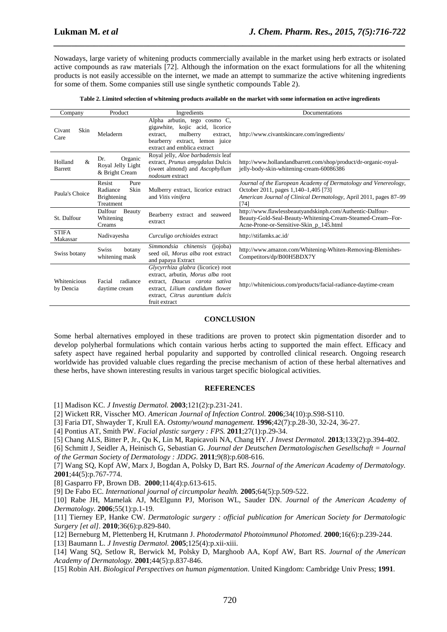Nowadays, large variety of whitening products commercially available in the market using herb extracts or isolated active compounds as raw materials [72]. Although the information on the exact formulations for all the whitening products is not easily accessible on the internet, we made an attempt to summarize the active whitening ingredients for some of them. Some companies still use single synthetic compounds Table 2).

*\_\_\_\_\_\_\_\_\_\_\_\_\_\_\_\_\_\_\_\_\_\_\_\_\_\_\_\_\_\_\_\_\_\_\_\_\_\_\_\_\_\_\_\_\_\_\_\_\_\_\_\_\_\_\_\_\_\_\_\_\_\_\_\_\_\_\_\_\_\_\_\_\_\_\_\_\_\_*

|  |  | Table 2. Limited selection of whitening products available on the market with some information on active ingredients |
|--|--|----------------------------------------------------------------------------------------------------------------------|
|  |  |                                                                                                                      |

| Company                                    | Product<br>Ingredients                                                                                                                                                                                                                     |                                                                                                                                      | Documentations                                                                                                                                                                       |  |  |
|--------------------------------------------|--------------------------------------------------------------------------------------------------------------------------------------------------------------------------------------------------------------------------------------------|--------------------------------------------------------------------------------------------------------------------------------------|--------------------------------------------------------------------------------------------------------------------------------------------------------------------------------------|--|--|
|                                            |                                                                                                                                                                                                                                            | Alpha arbutin, tego cosmo C,                                                                                                         |                                                                                                                                                                                      |  |  |
| Skin<br>Civant<br>Care                     | Meladerm                                                                                                                                                                                                                                   | gigawhite, kojic acid, licorice<br>mulberry<br>extract.<br>extract.<br>bearberry extract, lemon juice<br>extract and emblica extract | http://www.civantskincare.com/ingredients/                                                                                                                                           |  |  |
| $\mathcal{R}$<br>Holland<br><b>Barrett</b> | Organic<br>Dr.<br>Royal Jelly Light<br>& Bright Cream                                                                                                                                                                                      | Royal jelly, Aloe barbadensis leaf<br>extract, <i>Prunus amygdalus</i> Dulcis<br>(sweet almond) and Ascophyllum<br>nodosum extract   | http://www.hollandandbarrett.com/shop/product/dr-organic-royal-<br>jelly-body-skin-whitening-cream-60086386                                                                          |  |  |
| Paula's Choice                             | Resist<br>Pure<br>Radiance<br>Skin<br>Brightening<br>Treatment                                                                                                                                                                             | Mulberry extract, licorice extract<br>and Vitis vinifera                                                                             | Journal of the European Academy of Dermatology and Venereology,<br>October 2011, pages 1,140-1,405 [73]<br>American Journal of Clinical Dermatology, April 2011, pages 87–99<br>[74] |  |  |
| St. Dalfour                                | Dalfour<br>Beauty<br>Whitening<br>Creams                                                                                                                                                                                                   | Bearberry extract and seaweed<br>extract                                                                                             | http://www.flawlessbeautyandskinph.com/Authentic-Dalfour-<br>Beauty-Gold-Seal-Beauty-Whitening-Cream-Steamed-Cream--For-<br>Acne-Prone-or-Sensitive-Skin_p_145.html                  |  |  |
| <b>STIFA</b><br>Makassar                   | Nadivayesha                                                                                                                                                                                                                                | Curculigo orchioides extract                                                                                                         | http://stifamks.ac.id/                                                                                                                                                               |  |  |
| Swiss botany                               | <b>Swiss</b><br>botany<br>whitening mask                                                                                                                                                                                                   | Simmondsia chinensis<br>(jojoba)<br>seed oil, Morus alba root extract<br>and papaya Extract                                          | http://www.amazon.com/Whitening-Whiten-Removing-Blemishes-<br>Competitors/dp/B00H5BDX7Y                                                                                              |  |  |
| Whitenicious<br>by Dencia                  | Glycyrrhiza glabra (licorice) root<br>extract, arbutin, Morus alba root<br>radiance<br>Facial<br>Daucus carota sativa<br>extract,<br>extract, Lilium candidum flower<br>daytime cream<br>extract. Citrus aurantium dulcis<br>fruit extract |                                                                                                                                      | http://whitenicious.com/products/facial-radiance-daytime-cream                                                                                                                       |  |  |

#### **CONCLUSION**

Some herbal alternatives employed in these traditions are proven to protect skin pigmentation disorder and to develop polyherbal formulations which contain various herbs acting to supported the main effect. Efficacy and safety aspect have regained herbal popularity and supported by controlled clinical research. Ongoing research worldwide has provided valuable clues regarding the precise mechanism of action of these herbal alternatives and these herbs, have shown interesting results in various target specific biological activities.

### **REFERENCES**

[1] Madison KC. *J Investig Dermatol.* **2003**;121(2):p.231-241.

[2] Wickett RR, Visscher MO. *American Journal of Infection Control.* **2006**;34(10):p.S98-S110.

[3] Faria DT, Shwayder T, Krull EA. *Ostomy/wound management.* **1996**;42(7):p.28-30, 32-24, 36-27.

[4] Pontius AT, Smith PW. *Facial plastic surgery : FPS.* **2011**;27(1):p.29-34.

[5] Chang ALS, Bitter P, Jr., Qu K, Lin M, Rapicavoli NA, Chang HY. *J Invest Dermatol.* **2013**;133(2):p.394-402.

[6] Schmitt J, Seidler A, Heinisch G, Sebastian G. *Journal der Deutschen Dermatologischen Gesellschaft = Journal of the German Society of Dermatology : JDDG.* **2011**;9(8):p.608-616.

[7] Wang SQ, Kopf AW, Marx J, Bogdan A, Polsky D, Bart RS. *Journal of the American Academy of Dermatology.* **2001**;44(5):p.767-774.

[8] Gasparro FP, Brown DB. **2000**;114(4):p.613-615.

[9] De Fabo EC. *International journal of circumpolar health.* **2005**;64(5):p.509-522.

[10] Rabe JH, Mamelak AJ, McElgunn PJ, Morison WL, Sauder DN. *Journal of the American Academy of Dermatology.* **2006**;55(1):p.1-19.

[11] Tierney EP, Hanke CW. *Dermatologic surgery : official publication for American Society for Dermatologic Surgery [et al].* **2010**;36(6):p.829-840.

[12] Berneburg M, Plettenberg H, Krutmann J. *Photodermatol Photoimmunol Photomed.* **2000**;16(6):p.239-244.

[13] Baumann L. *J Investig Dermatol.* **2005**;125(4):p.xii-xiii.

[14] Wang SQ, Setlow R, Berwick M, Polsky D, Marghoob AA, Kopf AW, Bart RS. *Journal of the American Academy of Dermatology.* **2001**;44(5):p.837-846.

[15] Robin AH. *Biological Perspectives on human pigmentation*. United Kingdom: Cambridge Univ Press; **1991**.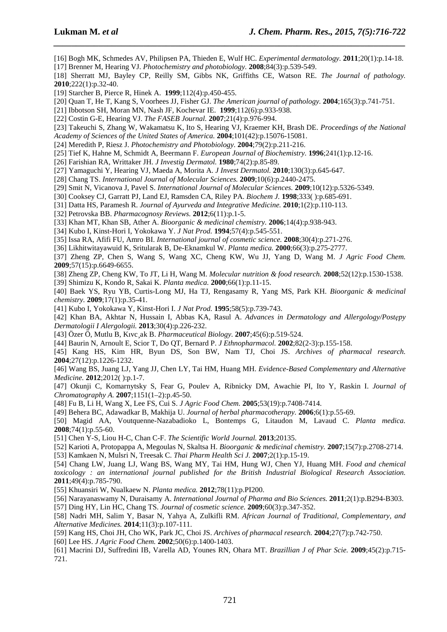[16] Bogh MK, Schmedes AV, Philipsen PA, Thieden E, Wulf HC. *Experimental dermatology.* **2011**;20(1):p.14-18.

*\_\_\_\_\_\_\_\_\_\_\_\_\_\_\_\_\_\_\_\_\_\_\_\_\_\_\_\_\_\_\_\_\_\_\_\_\_\_\_\_\_\_\_\_\_\_\_\_\_\_\_\_\_\_\_\_\_\_\_\_\_\_\_\_\_\_\_\_\_\_\_\_\_\_\_\_\_\_*

- [17] Brenner M, Hearing VJ. *Photochemistry and photobiology.* **2008**;84(3):p.539-549.
- [18] Sherratt MJ, Bayley CP, Reilly SM, Gibbs NK, Griffiths CE, Watson RE. *The Journal of pathology.* **2010**;222(1):p.32-40.
- [19] Starcher B, Pierce R, Hinek A. **1999**;112(4):p.450-455.
- [20] Quan T, He T, Kang S, Voorhees JJ, Fisher GJ. *The American journal of pathology.* **2004**;165(3):p.741-751.
- [21] Ibbotson SH, Moran MN, Nash JF, Kochevar IE. **1999**;112(6):p.933-938.
- [22] Costin G-E, Hearing VJ. *The FASEB Journal.* **2007**;21(4):p.976-994.
- [23] Takeuchi S, Zhang W, Wakamatsu K, Ito S, Hearing VJ, Kraemer KH, Brash DE. *Proceedings of the National Academy of Sciences of the United States of America.* **2004**;101(42):p.15076-15081.
- [24] Meredith P, Riesz J. *Photochemistry and Photobiology.* **2004**;79(2):p.211-216.
- [25] Tief K, Hahne M, Schmidt A, Beermann F. *European Journal of Biochemistry.* **1996**;241(1):p.12-16.
- [26] Farishian RA, Writtaker JH. *J Investig Dermatol.* **1980**;74(2):p.85-89.
- [27] Yamaguchi Y, Hearing VJ, Maeda A, Morita A. *J Invest Dermatol.* **2010**;130(3):p.645-647.
- [28] Chang TS. *International Journal of Molecular Sciences.* **2009**;10(6):p.2440-2475.
- [29] Smit N, Vicanova J, Pavel S. *International Journal of Molecular Sciences.* **2009**;10(12):p.5326-5349.
- [30] Cooksey CJ, Garratt PJ, Land EJ, Ramsden CA, Riley PA. *Biochem J.* **1998**;333( ):p.685-691.
- [31] Datta HS, Paramesh R. *Journal of Ayurveda and Integrative Medicine.* **2010**;1(2):p.110-113.
- [32] Petrovska BB. *Pharmacognosy Reviews.* **2012**;6(11):p.1-5.
- [33] Khan MT, Khan SB, Ather A. *Bioorganic & medicinal chemistry.* **2006**;14(4):p.938-943.
- [34] Kubo I, Kinst-Hori I, Yokokawa Y. *J Nat Prod.* **1994**;57(4):p.545-551.
- [35] Issa RA, Afifi FU, Amro BI. *International journal of cosmetic science.* **2008**;30(4):p.271-276.
- [36] Likhitwitayawuid K, Sritularak B, De-Eknamkul W. *Planta medica.* **2000**;66(3):p.275-2777.
- [37] Zheng ZP, Chen S, Wang S, Wang XC, Cheng KW, Wu JJ, Yang D, Wang M. *J Agric Food Chem.* **2009**;57(15):p.6649-6655.
- [38] Zheng ZP, Cheng KW, To JT, Li H, Wang M. *Molecular nutrition & food research.* **2008**;52(12):p.1530-1538.
- [39] Shimizu K, Kondo R, Sakai K. *Planta medica.* **2000**;66(1):p.11-15.
- [40] Baek YS, Ryu YB, Curtis-Long MJ, Ha TJ, Rengasamy R, Yang MS, Park KH. *Bioorganic & medicinal chemistry.* **2009**;17(1):p.35-41.
- [41] Kubo I, Yokokawa Y, Kinst-Hori I. *J Nat Prod.* **1995**;58(5):p.739-743.
- [42] Khan BA, Akhtar N, Hussain I, Abbas KA, Rasul A. *Advances in Dermatology and Allergology/Postepy Dermatologii I Alergologii.* **2013**;30(4):p.226-232.
- [43] Özer Ö, Mutlu B, Kıvc¸ak B. *Pharmaceutical Biology.* **2007**;45(6):p.519-524.
- [44] Baurin N, Arnoult E, Scior T, Do QT, Bernard P. *J Ethnopharmacol.* **2002**;82(2-3):p.155-158.
- [45] Kang HS, Kim HR, Byun DS, Son BW, Nam TJ, Choi JS. *Archives of pharmacal research.* **2004**;27(12):p.1226-1232.
- [46] Wang BS, Juang LJ, Yang JJ, Chen LY, Tai HM, Huang MH. *Evidence-Based Complementary and Alternative Medicine.* **2012**;2012( ):p.1-7.
- [47] Okunji C, Komarnytsky S, Fear G, Poulev A, Ribnicky DM, Awachie PI, Ito Y, Raskin I. *Journal of Chromatography A.* **2007**;1151(1–2):p.45-50.
- [48] Fu B, Li H, Wang X, Lee FS, Cui S. *J Agric Food Chem.* **2005**;53(19):p.7408-7414.
- [49] Behera BC, Adawadkar B, Makhija U. *Journal of herbal pharmacotherapy.* **2006**;6(1):p.55-69.
- [50] Magid AA, Voutquenne-Nazabadioko L, Bontemps G, Litaudon M, Lavaud C. *Planta medica.* **2008**;74(1):p.55-60.
- [51] Chen Y-S, Liou H-C, Chan C-F. *The Scientific World Journal.* **2013**;20135.
- [52] Karioti A, Protopappa A, Megoulas N, Skaltsa H. *Bioorganic & medicinal chemistry.* **2007**;15(7):p.2708-2714.
- [53] Kamkaen N, Mulsri N, Treesak C. *Thai Pharm Health Sci J.* **2007**;2(1):p.15-19.
- [54] Chang LW, Juang LJ, Wang BS, Wang MY, Tai HM, Hung WJ, Chen YJ, Huang MH. *Food and chemical toxicology : an international journal published for the British Industrial Biological Research Association.* **2011**;49(4):p.785-790.
- [55] Khuansiri W, Nualkaew N. *Planta medica.* **2012**;78(11):p.PI200.
- [56] Narayanaswamy N, Duraisamy A. *International Journal of Pharma and Bio Sciences.* **2011**;2(1):p.B294-B303.
- [57] Ding HY, Lin HC, Chang TS. *Journal of cosmetic science.* **2009**;60(3):p.347-352.
- [58] Nadri MH, Salim Y, Basar N, Yahya A, Zulkifli RM. *African Journal of Traditional, Complementary, and Alternative Medicines.* **2014**;11(3):p.107-111.
- [59] Kang HS, Choi JH, Cho WK, Park JC, Choi JS. *Archives of pharmacal research.* **2004**;27(7):p.742-750.
- [60] Lee HS. *J Agric Food Chem.* **2002**;50(6):p.1400-1403.
- [61] Macrini DJ, Suffredini IB, Varella AD, Younes RN, Ohara MT. *Brazillian J of Phar Scie.* **2009**;45(2):p.715- 721.